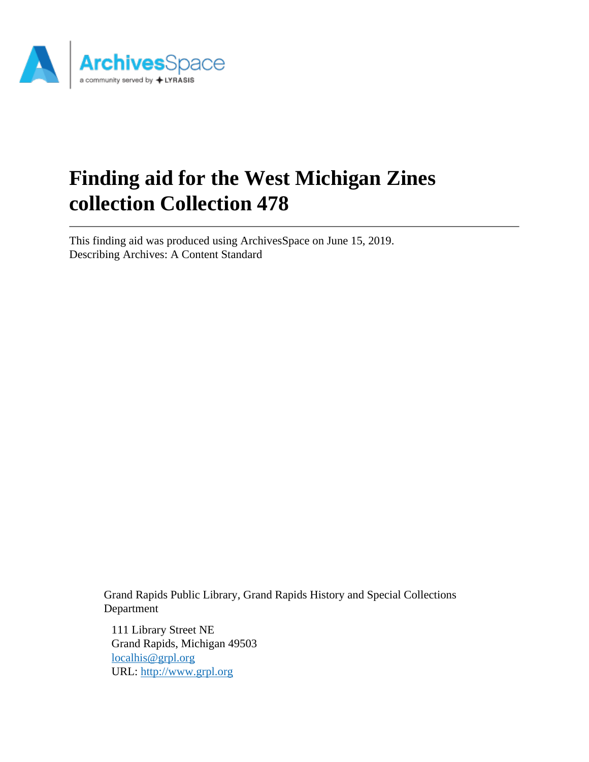

# **Finding aid for the West Michigan Zines collection Collection 478**

This finding aid was produced using ArchivesSpace on June 15, 2019. Describing Archives: A Content Standard

> Grand Rapids Public Library, Grand Rapids History and Special Collections Department

111 Library Street NE Grand Rapids, Michigan 49503 [localhis@grpl.org](mailto:localhis@grpl.org) URL:<http://www.grpl.org>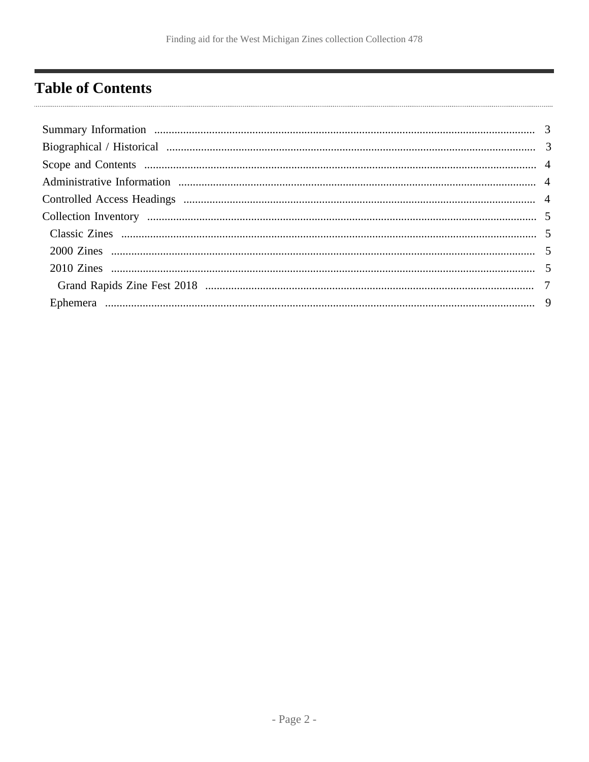# <span id="page-1-0"></span>**Table of Contents**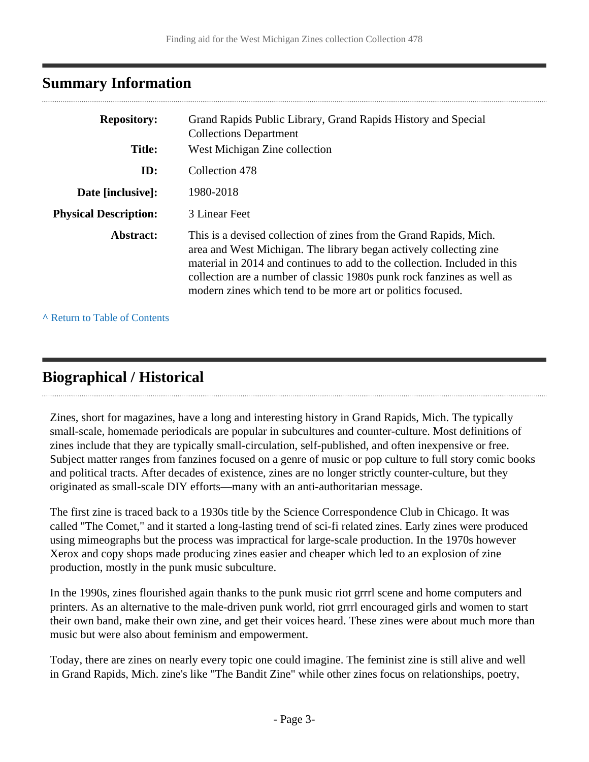## <span id="page-2-0"></span>**Summary Information**

| <b>Repository:</b>           | Grand Rapids Public Library, Grand Rapids History and Special<br><b>Collections Department</b>                                                                                                                                                                                                                                                                 |
|------------------------------|----------------------------------------------------------------------------------------------------------------------------------------------------------------------------------------------------------------------------------------------------------------------------------------------------------------------------------------------------------------|
| <b>Title:</b>                | West Michigan Zine collection                                                                                                                                                                                                                                                                                                                                  |
| ID:                          | Collection 478                                                                                                                                                                                                                                                                                                                                                 |
| Date [inclusive]:            | 1980-2018                                                                                                                                                                                                                                                                                                                                                      |
| <b>Physical Description:</b> | 3 Linear Feet                                                                                                                                                                                                                                                                                                                                                  |
| Abstract:                    | This is a devised collection of zines from the Grand Rapids, Mich.<br>area and West Michigan. The library began actively collecting zine<br>material in 2014 and continues to add to the collection. Included in this<br>collection are a number of classic 1980s punk rock fanzines as well as<br>modern zines which tend to be more art or politics focused. |

**^** [Return to Table of Contents](#page-1-0)

# <span id="page-2-1"></span>**Biographical / Historical**

Zines, short for magazines, have a long and interesting history in Grand Rapids, Mich. The typically small-scale, homemade periodicals are popular in subcultures and counter-culture. Most definitions of zines include that they are typically small-circulation, self-published, and often inexpensive or free. Subject matter ranges from fanzines focused on a genre of music or pop culture to full story comic books and political tracts. After decades of existence, zines are no longer strictly counter-culture, but they originated as small-scale DIY efforts—many with an anti-authoritarian message.

The first zine is traced back to a 1930s title by the Science Correspondence Club in Chicago. It was called "The Comet," and it started a long-lasting trend of sci-fi related zines. Early zines were produced using mimeographs but the process was impractical for large-scale production. In the 1970s however Xerox and copy shops made producing zines easier and cheaper which led to an explosion of zine production, mostly in the punk music subculture.

In the 1990s, zines flourished again thanks to the punk music riot grrrl scene and home computers and printers. As an alternative to the male-driven punk world, riot grrrl encouraged girls and women to start their own band, make their own zine, and get their voices heard. These zines were about much more than music but were also about feminism and empowerment.

Today, there are zines on nearly every topic one could imagine. The feminist zine is still alive and well in Grand Rapids, Mich. zine's like "The Bandit Zine" while other zines focus on relationships, poetry,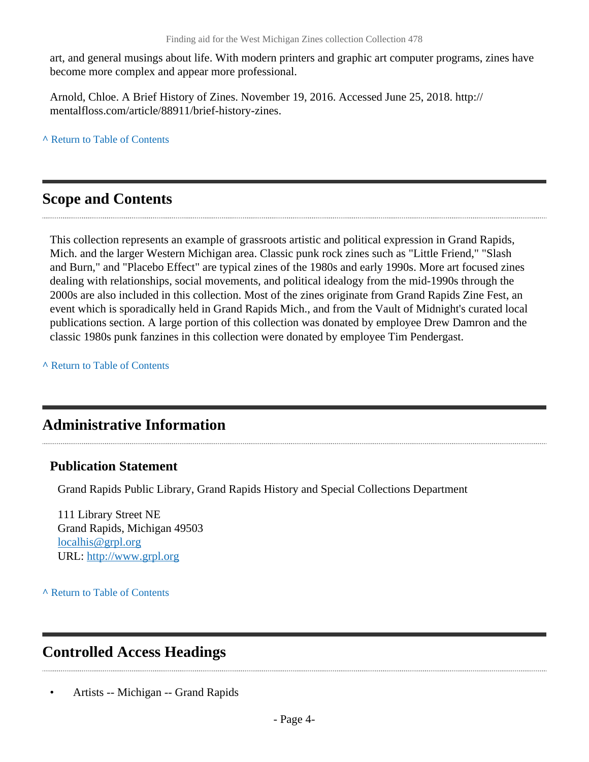art, and general musings about life. With modern printers and graphic art computer programs, zines have become more complex and appear more professional.

Arnold, Chloe. A Brief History of Zines. November 19, 2016. Accessed June 25, 2018. http:// mentalfloss.com/article/88911/brief-history-zines.

**^** [Return to Table of Contents](#page-1-0)

## <span id="page-3-0"></span>**Scope and Contents**

This collection represents an example of grassroots artistic and political expression in Grand Rapids, Mich. and the larger Western Michigan area. Classic punk rock zines such as "Little Friend," "Slash and Burn," and "Placebo Effect" are typical zines of the 1980s and early 1990s. More art focused zines dealing with relationships, social movements, and political idealogy from the mid-1990s through the 2000s are also included in this collection. Most of the zines originate from Grand Rapids Zine Fest, an event which is sporadically held in Grand Rapids Mich., and from the Vault of Midnight's curated local publications section. A large portion of this collection was donated by employee Drew Damron and the classic 1980s punk fanzines in this collection were donated by employee Tim Pendergast.

**^** [Return to Table of Contents](#page-1-0)

## <span id="page-3-1"></span>**Administrative Information**

### **Publication Statement**

Grand Rapids Public Library, Grand Rapids History and Special Collections Department

111 Library Street NE Grand Rapids, Michigan 49503 [localhis@grpl.org](mailto:localhis@grpl.org) URL:<http://www.grpl.org>

**^** [Return to Table of Contents](#page-1-0)

# <span id="page-3-2"></span>**Controlled Access Headings**

• Artists -- Michigan -- Grand Rapids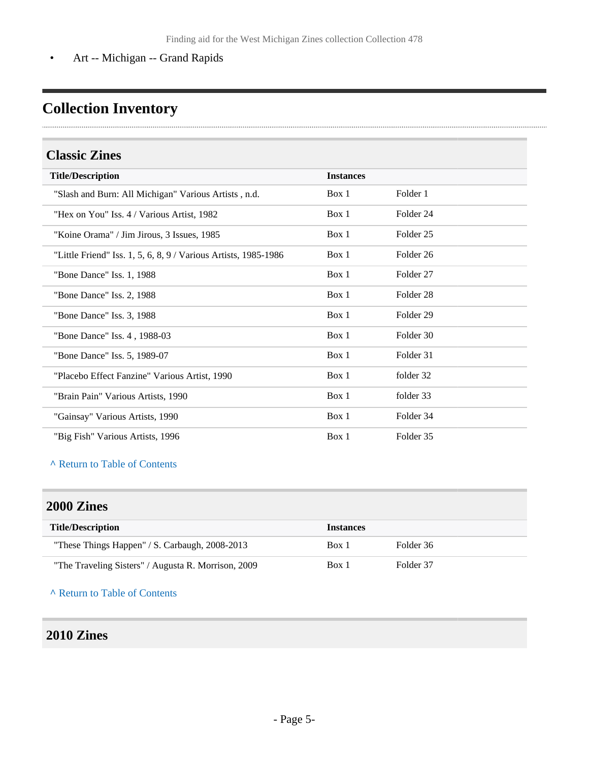• Art -- Michigan -- Grand Rapids

# <span id="page-4-0"></span>**Collection Inventory**

### <span id="page-4-1"></span>**Classic Zines**

| <b>Title/Description</b>                                        | <b>Instances</b> |                      |  |
|-----------------------------------------------------------------|------------------|----------------------|--|
| "Slash and Burn: All Michigan" Various Artists, n.d.            | Box 1            | Folder 1             |  |
| "Hex on You" Iss. 4 / Various Artist, 1982                      | Box 1            | Folder 24            |  |
| "Koine Orama" / Jim Jirous, 3 Issues, 1985                      | Box 1            | Folder <sub>25</sub> |  |
| "Little Friend" Iss. 1, 5, 6, 8, 9 / Various Artists, 1985-1986 | Box 1            | Folder 26            |  |
| "Bone Dance" Iss. 1, 1988                                       | Box 1            | Folder <sub>27</sub> |  |
| "Bone Dance" Iss. 2, 1988                                       | Box 1            | Folder 28            |  |
| "Bone Dance" Iss. 3, 1988                                       | Box 1            | Folder 29            |  |
| "Bone Dance" Iss. 4, 1988-03                                    | Box 1            | Folder 30            |  |
| "Bone Dance" Iss. 5, 1989-07                                    | Box 1            | Folder 31            |  |
| "Placebo Effect Fanzine" Various Artist, 1990                   | Box 1            | folder 32            |  |
| "Brain Pain" Various Artists, 1990                              | Box 1            | folder 33            |  |
| "Gainsay" Various Artists, 1990                                 | Box 1            | Folder 34            |  |
| "Big Fish" Various Artists, 1996                                | Box 1            | Folder 35            |  |

#### **^** [Return to Table of Contents](#page-1-0)

#### <span id="page-4-2"></span>**2000 Zines**

| <b>Title/Description</b>                            | <b>Instances</b> |           |
|-----------------------------------------------------|------------------|-----------|
| "These Things Happen" / S. Carbaugh, 2008-2013      | Box 1            | Folder 36 |
| "The Traveling Sisters" / Augusta R. Morrison, 2009 | Box 1            | Folder 37 |

**^** [Return to Table of Contents](#page-1-0)

### <span id="page-4-3"></span>**2010 Zines**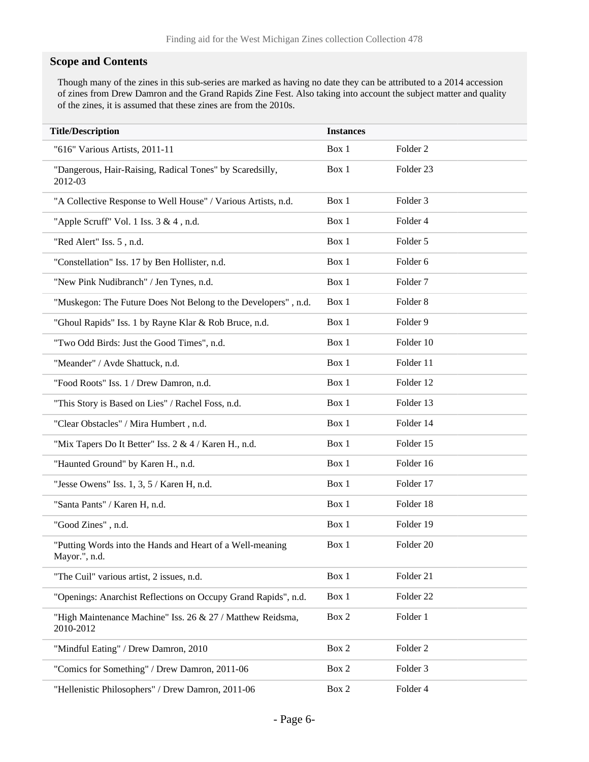#### **Scope and Contents**

Though many of the zines in this sub-series are marked as having no date they can be attributed to a 2014 accession of zines from Drew Damron and the Grand Rapids Zine Fest. Also taking into account the subject matter and quality of the zines, it is assumed that these zines are from the 2010s.

| <b>Title/Description</b>                                                   | <b>Instances</b> |                     |
|----------------------------------------------------------------------------|------------------|---------------------|
| "616" Various Artists, 2011-11                                             | Box 1            | Folder <sub>2</sub> |
| "Dangerous, Hair-Raising, Radical Tones" by Scaredsilly,<br>2012-03        | Box 1            | Folder 23           |
| "A Collective Response to Well House" / Various Artists, n.d.              | Box 1            | Folder <sub>3</sub> |
| "Apple Scruff" Vol. 1 Iss. 3 & 4, n.d.                                     | Box 1            | Folder 4            |
| "Red Alert" Iss. 5, n.d.                                                   | Box 1            | Folder 5            |
| "Constellation" Iss. 17 by Ben Hollister, n.d.                             | Box 1            | Folder 6            |
| "New Pink Nudibranch" / Jen Tynes, n.d.                                    | Box 1            | Folder <sub>7</sub> |
| "Muskegon: The Future Does Not Belong to the Developers", n.d.             | Box 1            | Folder <sub>8</sub> |
| "Ghoul Rapids" Iss. 1 by Rayne Klar & Rob Bruce, n.d.                      | Box 1            | Folder 9            |
| "Two Odd Birds: Just the Good Times", n.d.                                 | Box 1            | Folder 10           |
| "Meander" / Avde Shattuck, n.d.                                            | Box 1            | Folder 11           |
| "Food Roots" Iss. 1 / Drew Damron, n.d.                                    | Box 1            | Folder 12           |
| "This Story is Based on Lies" / Rachel Foss, n.d.                          | Box 1            | Folder 13           |
| "Clear Obstacles" / Mira Humbert, n.d.                                     | Box 1            | Folder 14           |
| "Mix Tapers Do It Better" Iss. 2 & 4 / Karen H., n.d.                      | Box 1            | Folder 15           |
| "Haunted Ground" by Karen H., n.d.                                         | Box 1            | Folder 16           |
| "Jesse Owens" Iss. $1, 3, 5$ / Karen H, n.d.                               | Box 1            | Folder 17           |
| "Santa Pants" / Karen H, n.d.                                              | Box 1            | Folder 18           |
| "Good Zines", n.d.                                                         | Box 1            | Folder 19           |
| "Putting Words into the Hands and Heart of a Well-meaning<br>Mayor.", n.d. | Box 1            | Folder 20           |
| "The Cuil" various artist, 2 issues, n.d.                                  | Box 1            | Folder 21           |
| "Openings: Anarchist Reflections on Occupy Grand Rapids", n.d.             | Box 1            | Folder 22           |
| "High Maintenance Machine" Iss. 26 & 27 / Matthew Reidsma,<br>2010-2012    | Box 2            | Folder 1            |
| "Mindful Eating" / Drew Damron, 2010                                       | Box 2            | Folder <sub>2</sub> |
| "Comics for Something" / Drew Damron, 2011-06                              | Box 2            | Folder 3            |
| "Hellenistic Philosophers" / Drew Damron, 2011-06                          | Box 2            | Folder 4            |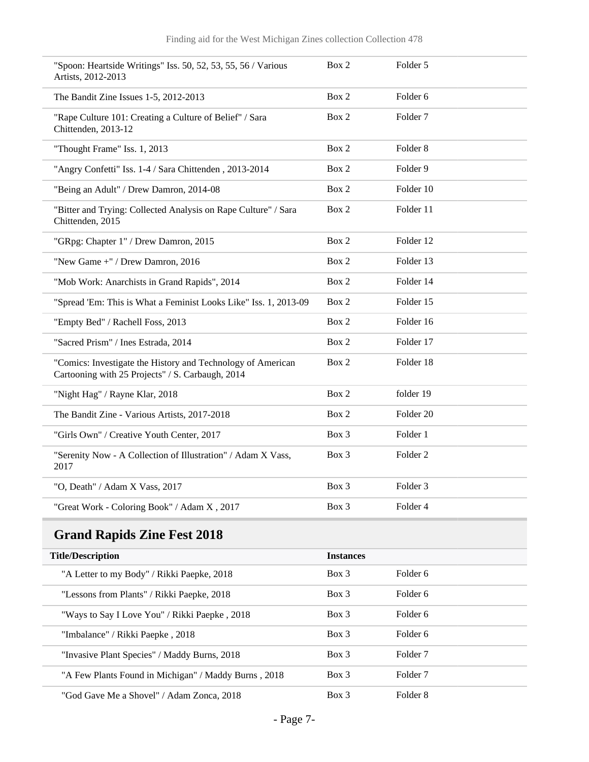| "Spoon: Heartside Writings" Iss. 50, 52, 53, 55, 56 / Various<br>Artists, 2012-2013                             | Box 2 | Folder 5             |
|-----------------------------------------------------------------------------------------------------------------|-------|----------------------|
| The Bandit Zine Issues 1-5, 2012-2013                                                                           | Box 2 | Folder <sub>6</sub>  |
| "Rape Culture 101: Creating a Culture of Belief" / Sara<br>Chittenden, 2013-12                                  | Box 2 | Folder <sub>7</sub>  |
| "Thought Frame" Iss. 1, 2013                                                                                    | Box 2 | Folder <sub>8</sub>  |
| "Angry Confetti" Iss. 1-4 / Sara Chittenden, 2013-2014                                                          | Box 2 | Folder 9             |
| "Being an Adult" / Drew Damron, 2014-08                                                                         | Box 2 | Folder 10            |
| "Bitter and Trying: Collected Analysis on Rape Culture" / Sara<br>Chittenden, 2015                              | Box 2 | Folder 11            |
| "GRpg: Chapter 1" / Drew Damron, 2015                                                                           | Box 2 | Folder 12            |
| "New Game +" / Drew Damron, 2016                                                                                | Box 2 | Folder 13            |
| "Mob Work: Anarchists in Grand Rapids", 2014                                                                    | Box 2 | Folder 14            |
| "Spread 'Em: This is What a Feminist Looks Like" Iss. 1, 2013-09                                                | Box 2 | Folder 15            |
| "Empty Bed" / Rachell Foss, 2013                                                                                | Box 2 | Folder 16            |
| "Sacred Prism" / Ines Estrada, 2014                                                                             | Box 2 | Folder 17            |
| "Comics: Investigate the History and Technology of American<br>Cartooning with 25 Projects" / S. Carbaugh, 2014 | Box 2 | Folder 18            |
| "Night Hag" / Rayne Klar, 2018                                                                                  | Box 2 | folder 19            |
| The Bandit Zine - Various Artists, 2017-2018                                                                    | Box 2 | Folder <sub>20</sub> |
| "Girls Own" / Creative Youth Center, 2017                                                                       | Box 3 | Folder 1             |
| "Serenity Now - A Collection of Illustration" / Adam X Vass,<br>2017                                            | Box 3 | Folder <sub>2</sub>  |
| "O, Death" / Adam X Vass, 2017                                                                                  | Box 3 | Folder 3             |
| "Great Work - Coloring Book" / Adam X, 2017                                                                     | Box 3 | Folder 4             |

# <span id="page-6-0"></span>**Grand Rapids Zine Fest 2018**

| <b>Title/Description</b>                             | <b>Instances</b> |                     |  |
|------------------------------------------------------|------------------|---------------------|--|
| "A Letter to my Body" / Rikki Paepke, 2018           | $Box$ 3          | Folder 6            |  |
| "Lessons from Plants" / Rikki Paepke, 2018           | $Box$ 3          | Folder 6            |  |
| "Ways to Say I Love You" / Rikki Paepke, 2018        | $Box$ 3          | Folder 6            |  |
| "Imbalance" / Rikki Paepke, 2018                     | $Box$ 3          | Folder 6            |  |
| "Invasive Plant Species" / Maddy Burns, 2018         | $Box$ 3          | Folder <sub>7</sub> |  |
| "A Few Plants Found in Michigan" / Maddy Burns, 2018 | $Box$ 3          | Folder <sub>7</sub> |  |
| "God Gave Me a Shovel" / Adam Zonca, 2018            | Box 3            | Folder 8            |  |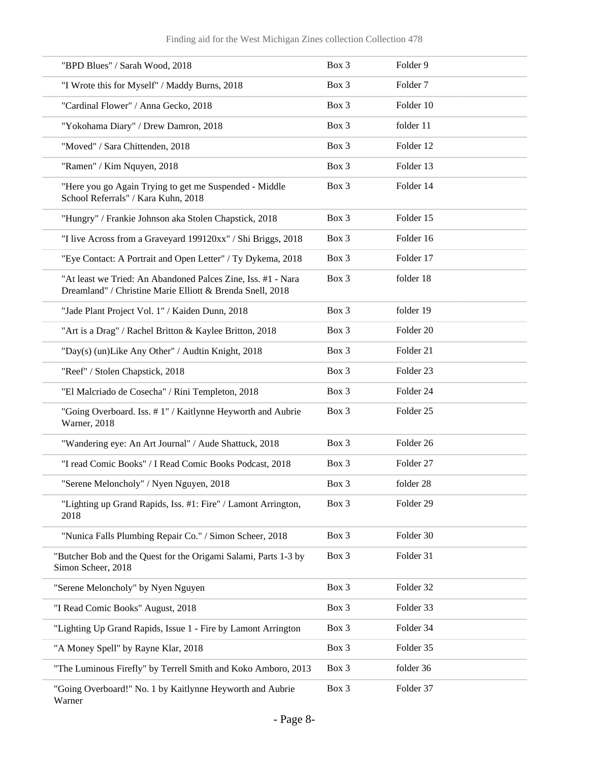| "BPD Blues" / Sarah Wood, 2018                                                                                            | Box 3 | Folder 9             |
|---------------------------------------------------------------------------------------------------------------------------|-------|----------------------|
| "I Wrote this for Myself" / Maddy Burns, 2018                                                                             | Box 3 | Folder <sub>7</sub>  |
| "Cardinal Flower" / Anna Gecko, 2018                                                                                      | Box 3 | Folder 10            |
| "Yokohama Diary" / Drew Damron, 2018                                                                                      | Box 3 | folder 11            |
| "Moved" / Sara Chittenden, 2018                                                                                           | Box 3 | Folder 12            |
| "Ramen" / Kim Nquyen, 2018                                                                                                | Box 3 | Folder 13            |
| "Here you go Again Trying to get me Suspended - Middle<br>School Referrals" / Kara Kuhn, 2018                             | Box 3 | Folder 14            |
| "Hungry" / Frankie Johnson aka Stolen Chapstick, 2018                                                                     | Box 3 | Folder 15            |
| "I live Across from a Graveyard 199120xx" / Shi Briggs, 2018                                                              | Box 3 | Folder 16            |
| "Eye Contact: A Portrait and Open Letter" / Ty Dykema, 2018                                                               | Box 3 | Folder 17            |
| "At least we Tried: An Abandoned Palces Zine, Iss. #1 - Nara<br>Dreamland" / Christine Marie Elliott & Brenda Snell, 2018 | Box 3 | folder 18            |
| "Jade Plant Project Vol. 1" / Kaiden Dunn, 2018                                                                           | Box 3 | folder 19            |
| "Art is a Drag" / Rachel Britton & Kaylee Britton, 2018                                                                   | Box 3 | Folder 20            |
| "Day(s) (un)Like Any Other" / Audtin Knight, 2018                                                                         | Box 3 | Folder 21            |
| "Reef" / Stolen Chapstick, 2018                                                                                           | Box 3 | Folder <sub>23</sub> |
| "El Malcriado de Cosecha" / Rini Templeton, 2018                                                                          | Box 3 | Folder 24            |
| "Going Overboard. Iss. #1" / Kaitlynne Heyworth and Aubrie<br>Warner, 2018                                                | Box 3 | Folder <sub>25</sub> |
| "Wandering eye: An Art Journal" / Aude Shattuck, 2018                                                                     | Box 3 | Folder 26            |
| "I read Comic Books" / I Read Comic Books Podcast, 2018                                                                   | Box 3 | Folder <sub>27</sub> |
| "Serene Meloncholy" / Nyen Nguyen, 2018                                                                                   | Box 3 | folder 28            |
| "Lighting up Grand Rapids, Iss. #1: Fire" / Lamont Arrington,<br>2018                                                     | Box 3 | Folder 29            |
| "Nunica Falls Plumbing Repair Co." / Simon Scheer, 2018                                                                   | Box 3 | Folder 30            |
| "Butcher Bob and the Quest for the Origami Salami, Parts 1-3 by<br>Simon Scheer, 2018                                     | Box 3 | Folder 31            |
| "Serene Meloncholy" by Nyen Nguyen                                                                                        | Box 3 | Folder 32            |
| "I Read Comic Books" August, 2018                                                                                         | Box 3 | Folder 33            |
| "Lighting Up Grand Rapids, Issue 1 - Fire by Lamont Arrington                                                             | Box 3 | Folder 34            |
| "A Money Spell" by Rayne Klar, 2018                                                                                       | Box 3 | Folder 35            |
| "The Luminous Firefly" by Terrell Smith and Koko Amboro, 2013                                                             | Box 3 | folder 36            |
| "Going Overboard!" No. 1 by Kaitlynne Heyworth and Aubrie<br>Warner                                                       | Box 3 | Folder 37            |